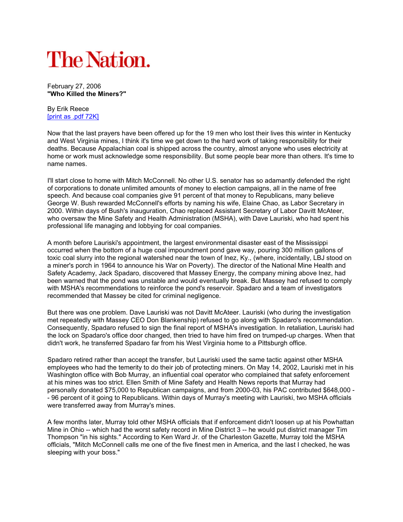## **The Nation.**

February 27, 2006 "Who Killed the Miners?"

By Erik Reece [print as .pdf 72K]

Now that the last prayers have been offered up for the 19 men who lost their lives this winter in Kentucky and West Virginia mines, I think it's time we get down to the hard work of taking responsibility for their deaths. Because Appalachian coal is shipped across the country, almost anyone who uses electricity at home or work must acknowledge some responsibility. But some people bear more than others. It's time to name names.

I'll start close to home with Mitch McConnell. No other U.S. senator has so adamantly defended the right of corporations to donate unlimited amounts of money to election campaigns, all in the name of free speech. And because coal companies give 91 percent of that money to Republicans, many believe George W. Bush rewarded McConnell's efforts by naming his wife, Elaine Chao, as Labor Secretary in 2000. Within days of Bush's inauguration, Chao replaced Assistant Secretary of Labor Davitt McAteer, who oversaw the Mine Safety and Health Administration (MSHA), with Dave Lauriski, who had spent his professional life managing and lobbying for coal companies.

A month before Lauriski's appointment, the largest environmental disaster east of the Mississippi occurred when the bottom of a huge coal impoundment pond gave way, pouring 300 million gallons of toxic coal slurry into the regional watershed near the town of Inez, Ky., (where, incidentally, LBJ stood on a miner's porch in 1964 to announce his War on Poverty). The director of the National Mine Health and Safety Academy, Jack Spadaro, discovered that Massey Energy, the company mining above Inez, had been warned that the pond was unstable and would eventually break. But Massey had refused to comply with MSHA's recommendations to reinforce the pond's reservoir. Spadaro and a team of investigators recommended that Massey be cited for criminal negligence.

But there was one problem. Dave Lauriski was not Davitt McAteer. Lauriski (who during the investigation met repeatedly with Massey CEO Don Blankenship) refused to go along with Spadaro's recommendation. Consequently, Spadaro refused to sign the final report of MSHA's investigation. In retaliation, Lauriski had the lock on Spadaro's office door changed, then tried to have him fired on trumped-up charges. When that didn't work, he transferred Spadaro far from his West Virginia home to a Pittsburgh office.

Spadaro retired rather than accept the transfer, but Lauriski used the same tactic against other MSHA employees who had the temerity to do their job of protecting miners. On May 14, 2002, Lauriski met in his Washington office with Bob Murray, an influential coal operator who complained that safety enforcement at his mines was too strict. Ellen Smith of Mine Safety and Health News reports that Murray had personally donated \$75,000 to Republican campaigns, and from 2000-03, his PAC contributed \$648,000 - - 96 percent of it going to Republicans. Within days of Murray's meeting with Lauriski, two MSHA officials were transferred away from Murray's mines.

A few months later, Murray told other MSHA officials that if enforcement didn't loosen up at his Powhattan Mine in Ohio -- which had the worst safety record in Mine District 3 -- he would put district manager Tim Thompson "in his sights." According to Ken Ward Jr. of the Charleston Gazette, Murray told the MSHA officials, "Mitch McConnell calls me one of the five finest men in America, and the last I checked, he was sleeping with your boss."